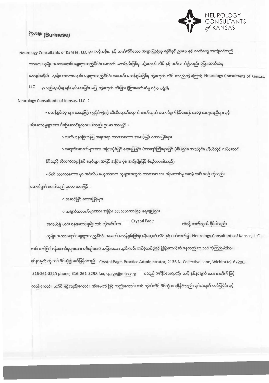

## **EDITH (Burmese)**

Neurology Consultants of Kansas, LLC မှာ ဗဟိုအစိုးရ နှင့် သက်ဆိုင်သော အများပြည်သူ ရ၀ိုင်ရွင့် ဥပဒေ နှင့် လက်တွေ အကျုံးဝင်သည် သာမက လူမျိုး၊ အသားရောင်၊ ခမ္မးဖွားသည့်နိုင်ငံ၊ အသက်၊ မသန်စွမ်းဖြစ်မှု၊ သို့မဟုတ် လိင် နှင့် ပတ်သက်၍လည်း ရွဲခြားဆက်ဆံမှု အလျင်းမရှိပါ။ လူမျိုး၊ အသားရောင်၊ မွေးဖွားသည့်နိုင်ငံ၊ အသက်၊ မသန်စွမ်းဖြစ်မှု သို့မဟုတ် လိင် စသည်တို့ ကြောင့် Neurology Consultants of Kansas, LLC မှာ မည်သူကိုမျှ ချန်လှပ်ထားခြင်း မပြု သို့မဟုတ် သီးခြား စွဲခြားဆက်ဆံမှု လုံးဝ မရှိပါ။

Neurology Consultants of Kansas, LLC :

• မသန်စွမ်းသူ များ အနေဖြင့် ကျန်ပ်တို့နှင့် ထိထိရောက်ရောက် ဆက်သွယ် ဆောင်ရွက်နိုင်စေရန် အခမဲ့ အကုအညီများ နှင့် ဝန်ဆောင်မှုများအား စီစဉ်ဆောင်ရွက်ပေးပါသည်၊ ဉပမာ အားဖြင့် -

၀ လက်ဟန်ခြေဟန်ပြ အမူအရာ ဘာသာစကား အဆင့်မြင့် စကားပြန်များ

၀ အရက်အလက်များအား အခြားပုံစံဖြင့် ရေးရပြခြင်း (ကားချပ်ကြီးများဖြင့် ပုံနှိပ်ခြင်း၊ အသံပိုင်း၊ ကိုယ်တိုင် လုပ်ဆောင် နိုင်သည့် အီလက်ထရွန်နစ် စနစ်များ အပြင် အခြား ပုံစံ အမျိုးမျိုးဖြင့် စီစဉ်ထားပါသည်)

• မိခင် ဘာသာစကား မှာ အင်္ဂလိပ် မဟုတ်သော သူများအတွက် ဘာသာစကား ဝန်ဆောင်မှု အခမဲ့ အစီအစဉ် ကိုလည်း ဆောင်ရွက် ပေးပါသည် ဥပမာ အားဖြင့် -

၀ အဆင့်မြင့် စကားပြန်များ

<u>၀ အရက်အလက်များအား အခြား ဘာသာစကားဖြင့် ရေးချပြခြင်း</u>

Crystal Page အကယ်၍ ယင်း ဝန်ဆောင်မှုမျိုး သင် လိုအပ်ပါက၊ ထံသို့ ဆက်သွယ် နိုင်ပါသည်။

လူမျိုး၊ အသားရောင်၊ မွေးဗွားသည့်နိုင်ငံ၊ အသက်၊ မသန်စွမ်းဖြစ်မှု၊ သို့မဟုတ် လိင် နှင့် ပတ်သက်၍ Neurology Consultants of Kansas, LLC ယင်း ဖော်ပြပါ ဝန်ဆောင်မှုများအား မစီစဉ်ပေးပဲ အခြားသော နည်းလမ်း တစ်စုံတစ်ခုဖြင့် ခွဲခြားဆက်ဆံ နေသည် ဟု သင် ယုံကြည်မိပါက၊ နစ်နာရက် ကို သင် ဖိုင်တွဲ၍ ဖော်ပြနိုင်သည် - Crystal Page, Practice Administrator, 2135 N. Collective Lane, Wichita KS 67206, 316-261-3220 phone, 316-261-3298 fax, cpage@ncks.org စသည် ဖော်ပြပေးရမည်။ သင့် နစ်နာချက် အား စာတိုက် ဖြင့် လည်းကောင်း၊ ဇက်စ် ဖြင့်လည်းကောင်း၊ အီးမေးလ် ဖြင့် လည်းကောင်း သင် ကိုယ်တိုင် ဖိုင်တွဲ ပေးနိုနိုင်သည်။ နစ်နာချက် တင်ပြရင်း နှင့်